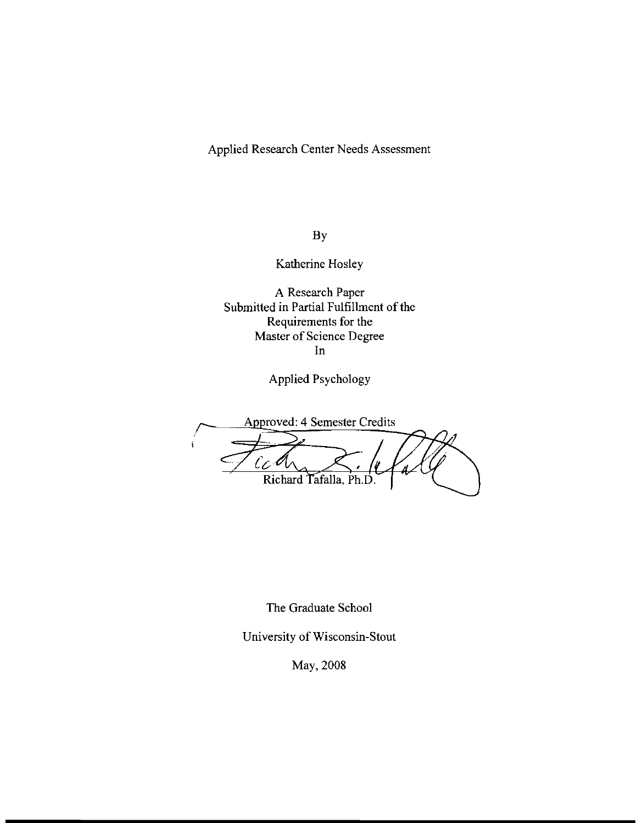Applied Research Center Needs Assessment

By

Katherine Hosley

A Research Paper Submitted in Partial Fulfillment of the Requirements for the Master of Science Degree In

Applied Psychology

Approved: 4 Semester Credits  $c_{c}$ Richard Tafalla, Ph.D

The Graduate School

University of Wisconsin-Stout

May, 2008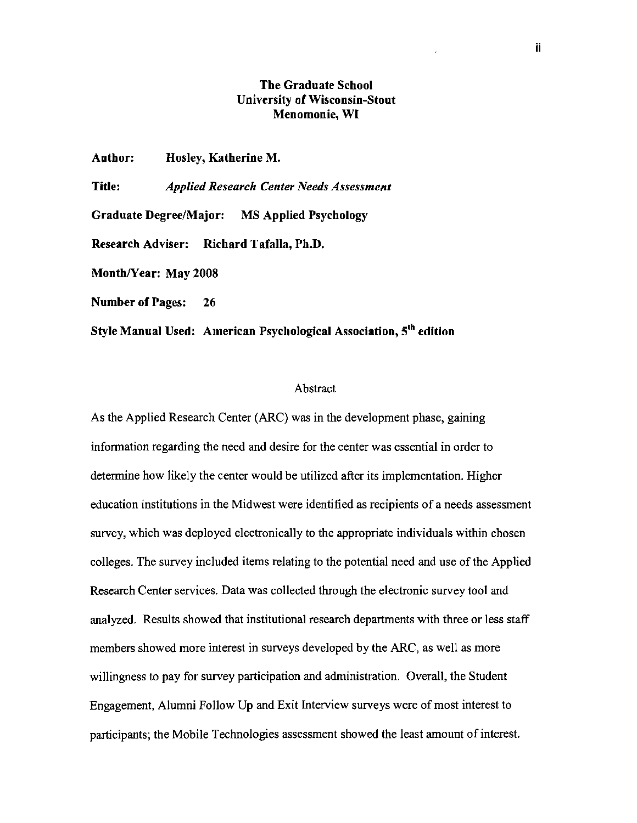# The Graduate School University of Wisconsin-Stout Menomonie, **WI**

Author: Hosley, Katherine M.

Title: *Applied Research Center Needs Assessment* 

Graduate Degree/Major: MS Applied Psychology

Research Adviser: Richard Tafalla, Ph.D.

Month/Year: May 2008

Number of Pages: 26

Style Manual Used: American Psychological Association, S'h edition

## **Abstract**

As the Applied Research Center (ARC) was in the development phase, gaining information regarding the need and desire for the center was essential in order to determine how likely the center would be utilized after its implementation. Higher education institutions in the Midwest were identified as recipients of a needs assessment survey, which was deployed electronically to the appropriate individuals within chosen colleges. The survey included items relating to the potential need and use of the Applied Research Center services. Data was collected through the electronic survey tool and analyzed. Results showed that institutional research departments with three or less staff members showed more interest in surveys developed by the ARC, as well as more willingness to pay for survey participation and administration. Overall, the Student Engagement, Alumni Follow Up and Exit Interview surveys were of most interest to participants; the Mobile Technologies assessment showed the least amount of interest.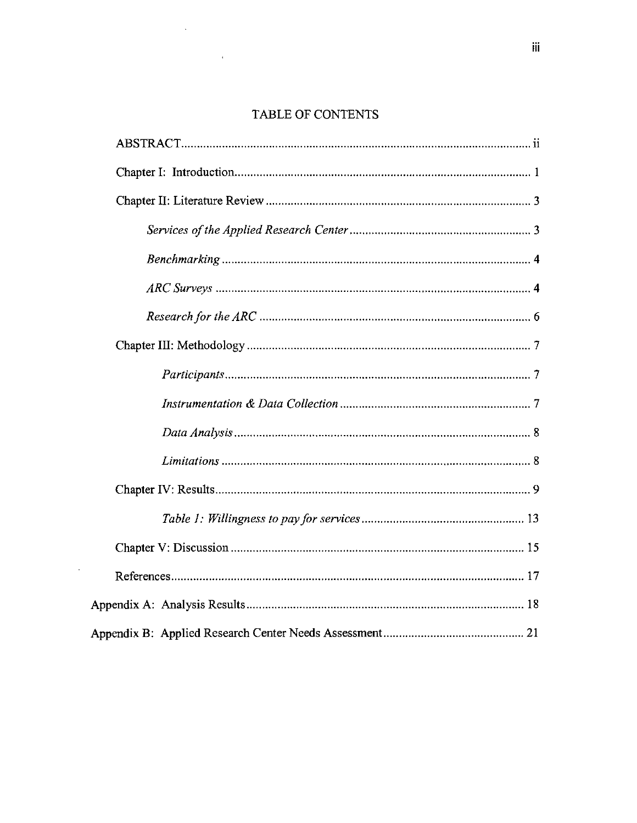# TABLE OF CONTENTS

 $\Delta \sim 10^4$ 

 $\sim 10^{-1}$ 

 $\mathcal{L}^{\text{max}}_{\text{max}}$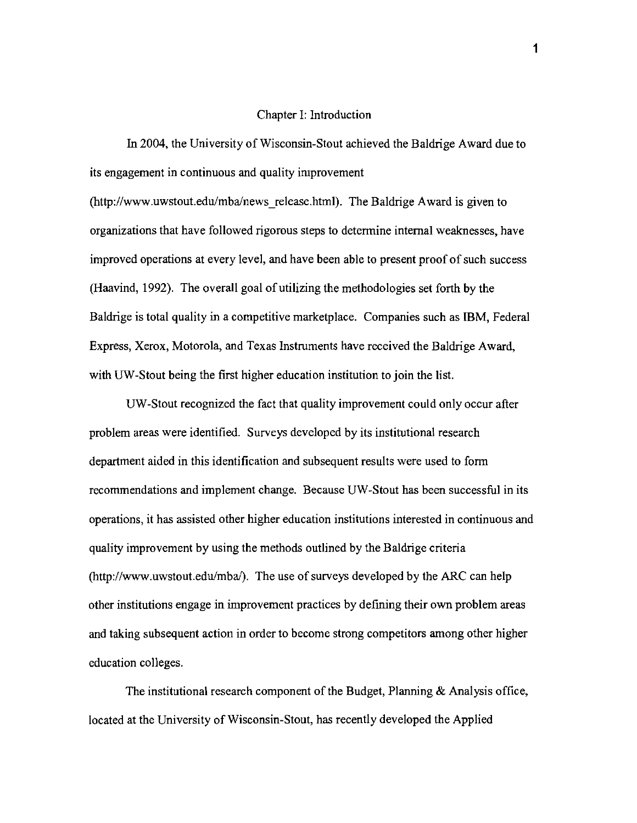#### Chapter I: Introduction

In 2004, the University of Wisconsin-Stout achieved the Baldrige Award due to its engagement in continuous and quality improvement

(http://www.uwstout.edu/mba/news release.html). The Baldrige Award is given to organizations that have followed rigorous steps to determine internal weaknesses, have improved operations at every level, and have been able to present proof of such success (Haavind, 1992). The overall goal of utilizing the methodologies set forth by the Baldrige is total quality in a competitive marketplace. Companies such as IBM, Federal Express, Xerox, Motorola, and Texas Instruments have received the Baldrige Award, with UW-Stout being the first higher education institution to join the list.

UW-Stout recognized the fact that quality improvement could only occur after problem areas were identified. Surveys developed by its institutional research department aided in this identification and subsequent results were used to form recommendations and implement change. Because UW-Stout has been successful in its operations, it has assisted other higher education institutions interested in continuous and quality improvement by using the methods outlined by the Baldrige criteria (http://www.uwstout.edu/mba/). The use of surveys developed by the ARC can help other institutions engage in improvement practices by defining their own problem areas and taking subsequent action in order to become strong competitors among other higher education colleges.

The institutional research component of the Budget, Planning & Analysis office, located at the University of Wisconsin-Stout, has recently developed the Applied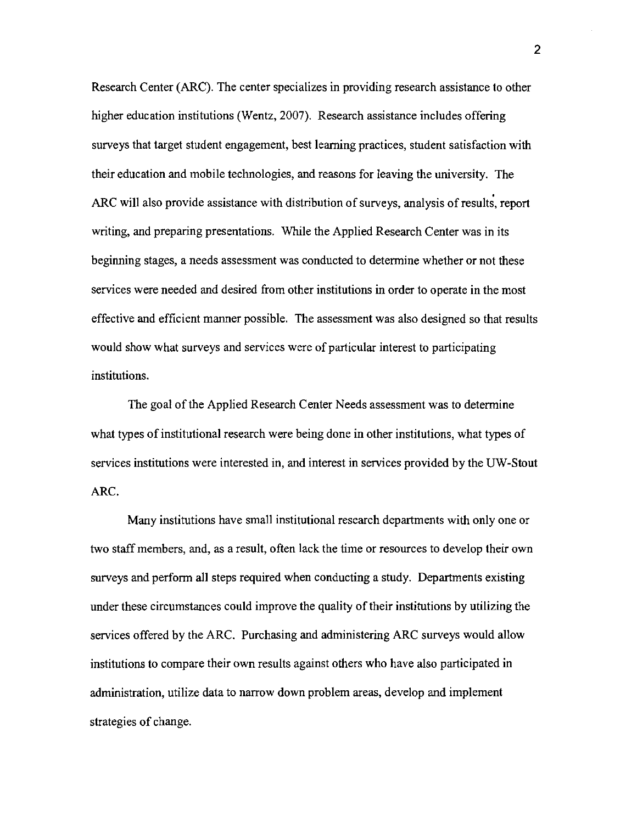Research Center (ARC). The center specializes in providing research assistance to other higher education institutions (Wentz, 2007). Research assistance includes offering surveys that target student engagement, best learning practices, student satisfaction with their education and mobile technologies, and reasons for leaving the university. The ARC will also provide assistance with distribution of surveys, analysis of results, report writing, and preparing presentations. While the Applied Research Center was in its beginning stages, a needs assessment was conducted to determine whether or not these services were needed and desired from other institutions in order to operate in the most effective and efficient manner possible. The assessment was also designed so that results would show what surveys and services were of particular interest to participating institutions.

The goal of the Applied Research Center Needs assessment was to determine what types of institutional research were being done in other institutions, what types of services institutions were interested in, and interest in services provided by the UW-Stout ARC.

Many institutions have small institutional research departments with only one or two staff members, and, as a result, often lack the time or resources to develop their own surveys and perform all steps required when conducting a study. Departments existing under these circumstances could improve the quality of their institutions by utilizing the services offered by the ARC. Purchasing and administering ARC surveys would allow institutions to compare their own results against others who have also participated in administration, utilize data to narrow down problem areas, develop and implement strategies of change.

2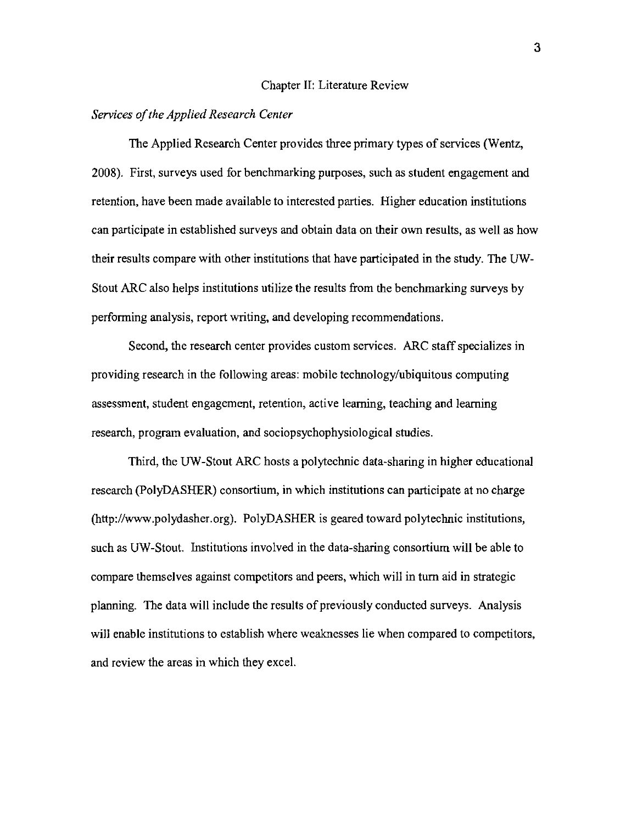#### Chapter II: Literature Review

#### *Services ofthe Applied Research Center*

The Applied Research Center provides three primary types of services (Wentz, 2008). First, surveys used for benchmarking purposes, such as student engagement and retention, have been made available to interested parties. Higher education institutions can participate in established surveys and obtain data on their own results, as well as how their results compare with other institutions that have participated in the study. The UW-Stout ARC also helps institutions utilize the results from the benchmarking surveys by performing analysis, report writing, and developing recommendations.

Second, the research center provides custom services. ARC staff specializes in providing research in the following areas: mobile technology/ubiquitous computing assessment, student engagement, retention, active learning, teaching and learning research, program evaluation, and sociopsychophysiological studies.

Third, the UW-Stout ARC hosts a polytechnic data-sharing in higher educational research (PolyDASHER) consortium, in which institutions can participate at no charge (http://www.polydasher.org). PolyDASHER is geared toward polytechnic institutions, such as UW-Stout. Institutions involved in the data-sharing consortium will be able to compare themselves against competitors and peers, which will in turn aid in strategic planning. The data will include the results of previously conducted surveys. Analysis will enable institutions to establish where weaknesses lie when compared to competitors, and review the areas in which they excel.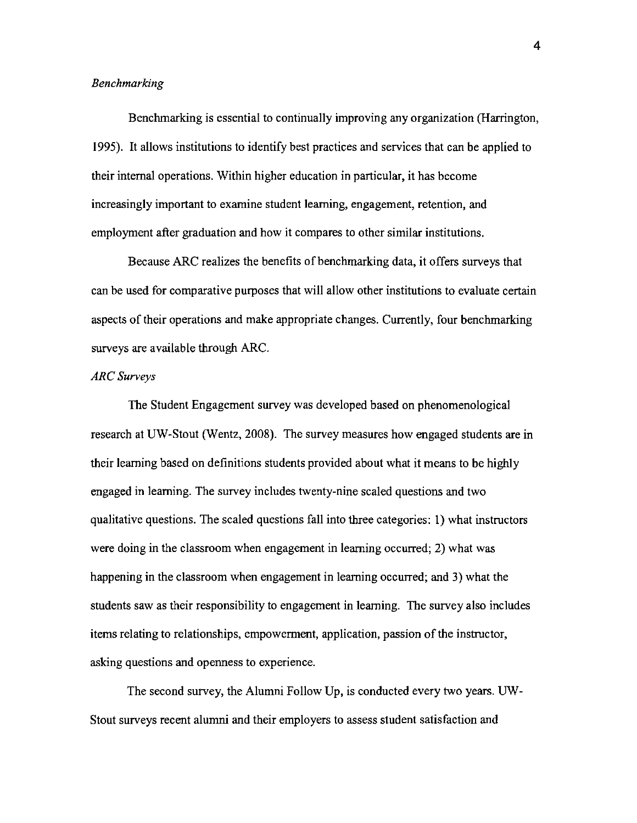## *Benchmarking*

Benchmarking is essential to continually improving any organization (Harrington, 1995). It allows institutions to identify best practices and services that can be applied to their internal operations. Within higher education in particular, it has become increasingly important to examine student learning, engagement, retention, and employment after graduation and how it compares to other similar institutions.

Because ARC realizes the benefits of benchmarking data, it offers surveys that can be used for comparative purposes that will allow other institutions to evaluate certain aspects of their operations and make appropriate changes. Currently, four benchmarking surveys are available through ARC.

## *ARC Surveys*

The Student Engagement survey was developed based on phenomenological research at UW-Stout (Wentz, 2008). The survey measures how engaged students are in their learning based on definitions students provided about what it means to be highly engaged in learning. The survey includes twenty-nine scaled questions and two qualitative questions. The scaled questions fall into three categories: 1) what instructors were doing in the classroom when engagement in learning occurred; 2) what was happening in the classroom when engagement in learning occurred; and 3) what the students saw as their responsibility to engagement in learning. The survey also includes items relating to relationships, empowerment, application, passion of the instructor, asking questions and openness to experience.

The second survey, the Alumni Follow Up, is conducted every two years. UW-Stout surveys recent alumni and their employers to assess student satisfaction and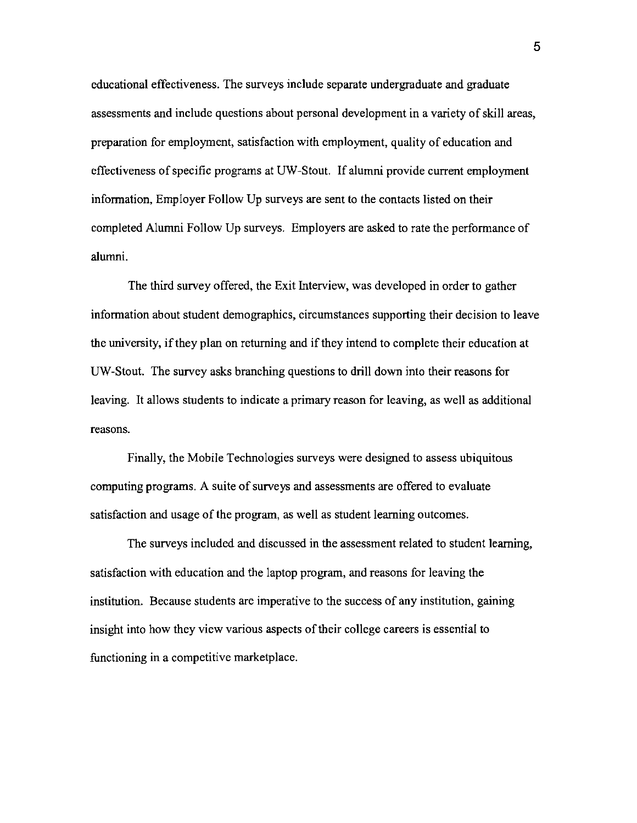educational effectiveness. The surveys include separate undergraduate and graduate assessments and include questions about personal development in a variety of skill areas, preparation for employment, satisfaction with employment, quality of education and effectiveness of specific programs at UW-Stout. If alumni provide current employment information, Employer Follow Up surveys are sent to the contacts listed on their completed Alunmi Follow Up surveys. Employers are asked to rate the performance of alumni.

The third survey offered, the Exit Interview, was developed in order to gather information about student demographics, circumstances supporting their decision to leave the university, ifthey plan on returning and ifthey intend to complete their education at UW-Stout. The survey asks branching questions to drill down into their reasons for leaving. It allows students to indicate a primary reason for leaving, as well as additional reasons.

Finally, the Mobile Technologies surveys were designed to assess ubiquitous computing programs. A suite of surveys and assessments are offered to evaluate satisfaction and usage of the program, as well as student learning outcomes.

The surveys included and discussed in the assessment related to student learning, satisfaction with education and the laptop program, and reasons for leaving the institution. Because students are imperative to the success of any institution, gaining insight into how they view various aspects of their college careers is essential to functioning in a competitive marketplace.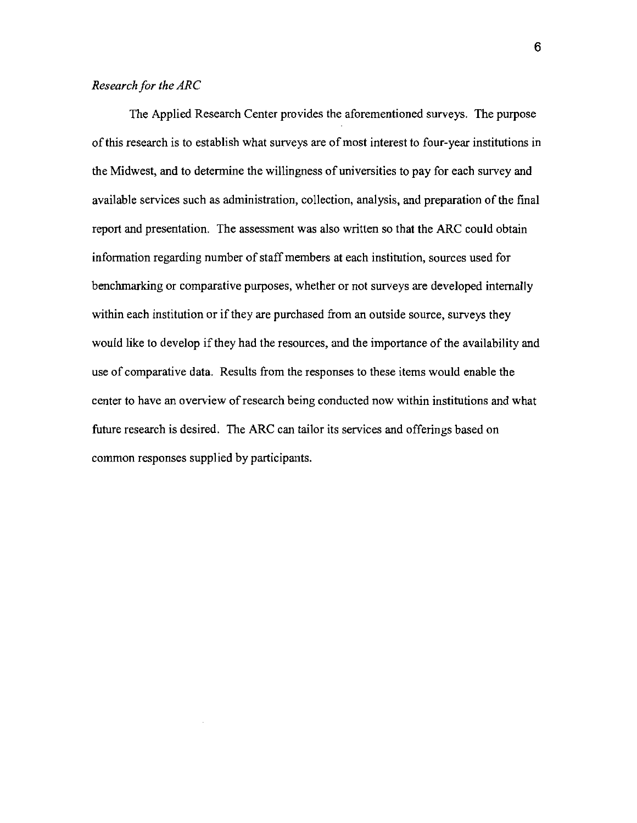## *Research for the ARC*

The Applied Research Center provides the aforementioned surveys. The purpose of this research is to establish what surveys are of most interest to four-year institutions in the Midwest, and to determine the willingness of universities to pay for each survey and available services such as administration, collection, analysis, and preparation of the final report and presentation. The assessment was also written so that the ARC could obtain information regarding number of staff members at each institution, sources used for benchmarking or comparative purposes, whether or not surveys are developed internally within each institution or if they are purchased from an outside source, surveys they would like to develop ifthey had the resources, and the importance of the availability and use of comparative data. Results from the responses to these items would enable the center to have an overview of research being conducted now within institutions and what future research is desired. The ARC can tailor its services and offerings based on common responses supplied by participants.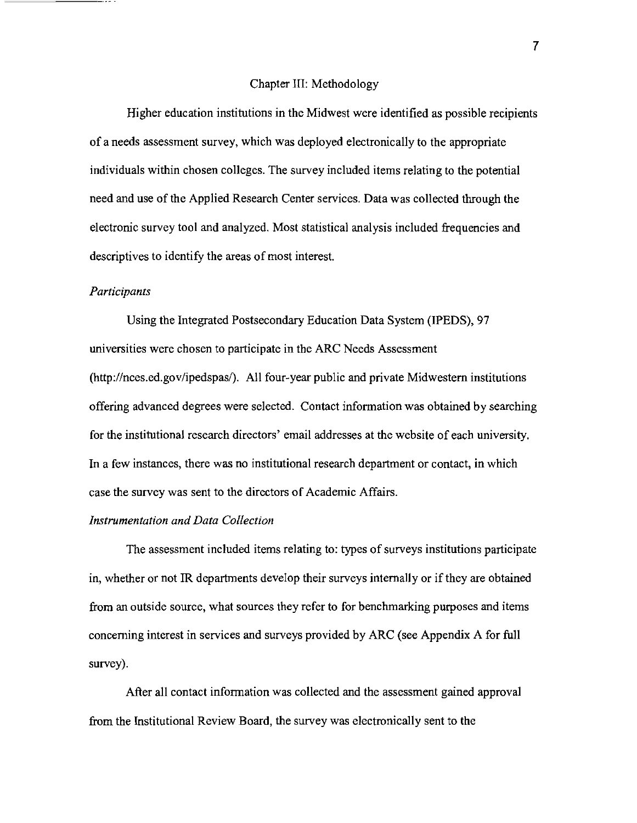#### Chapter III: Methodology

Higher education institutions in the Midwest were identified as possible recipients of a needs assessment survey, which was deployed electronically to the appropriate individuals within chosen colleges. The survey included items relating to the potential need and use of the Applied Research Center services. Data was collected through the electronic survey tool and analyzed. Most statistical analysis included frequencies and descriptives to identify the areas of most interest.

### *Participants*

Using the Integrated Postsecondary Education Data System (IPEDS), 97 universities were chosen to participate in the ARC Needs Assessment (http://nces.ed.gov/ipedspas/). All four-year public and private Midwestern institutions offering advanced degrees were selected. Contact information was ohtained by searching for the institutional research directors' email addresses at the wehsite of each university. In a few instances, there was no institutional research department or contact, in which case the survey was sent to the directors of Academic Affairs.

## *Instrumentation and Data Collection*

The assessment included items relating to: types of surveys institutions participate in, whether or not IR departments develop their surveys internally or if they are ohtained from an outside source, what sources they refer to for benchmarking purposes and items concerning interest in services and surveys provided by ARC (see Appendix A for full survey).

After all contact information was collected and the assessment gained approval from the Institutional Review Board, the survey was electronically sent to the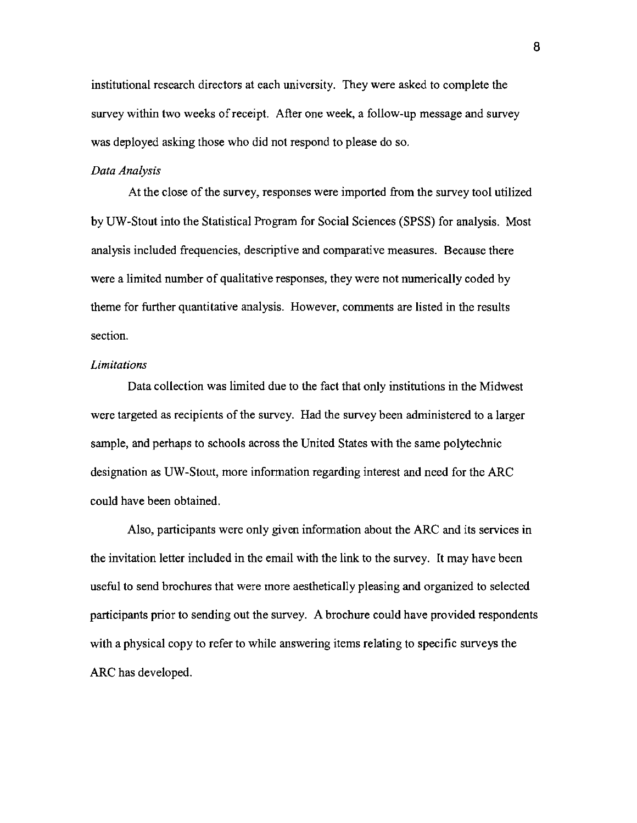institutional research directors at each university. They were asked to complete the survey within two weeks ofreceipt. After one week, a follow-up message and survey was deployed asking those who did not respond to please do so.

#### *Data Analysis*

At the close of the survey, responses were imported from the survey tool utilized by UW-Stout into the Statistical Program for Social Sciences (SPSS) for analysis. Most analysis included frequencies, descriptive and comparative measures. Because there were a limited number of qualitative responses, they were not numerically coded by theme for further quantitative analysis. However, comments are listed in the results section.

#### *Limitations*

Data collection was limited due to the fact that only institutions in the Midwest were targeted as recipients of the survey. Had the survey been administered to a larger sample, and perhaps to schools across the United States with the same polytechnic designation as UW-Stout, more information regarding interest and need for the ARC could have been obtained.

Also, participants were only given information about the ARC and its services in the invitation letter included in the email with the link to the survey. It may have been useful to send brochures that were more aesthetically pleasing and organized to selected participants prior to sending out the survey. A brochure could have provided respondents with a physical copy to refer to while answering items relating to specific surveys the ARC has developed.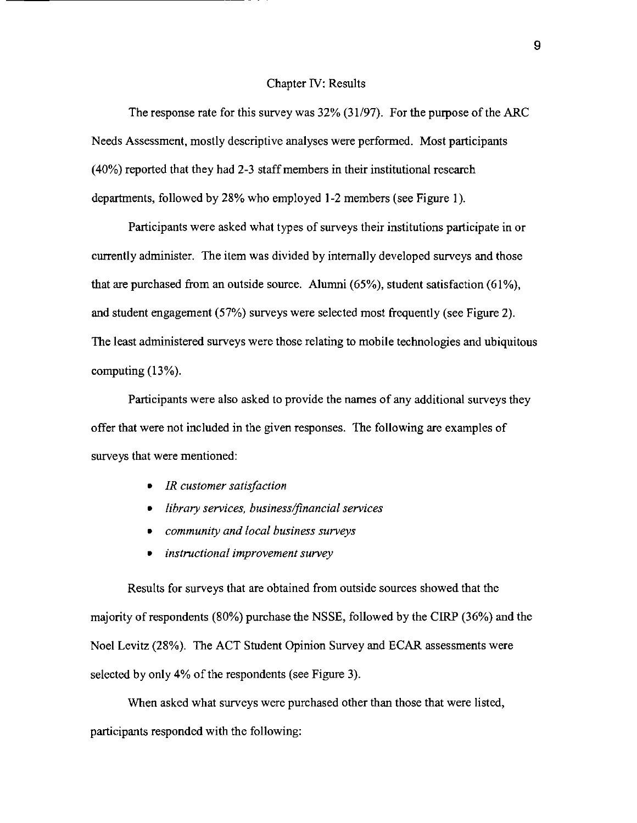#### Chapter IV: Results

The response rate for this survey was 32% (31/97). For the purpose of the ARC Needs Assessment, mostly descriptive analyses were performed. Most participants (40%) reported that they had 2-3 staff members in their institutional research departments, followed by 28% who employed **1-2** members (see Figure I).

Participants were asked what types of surveys their institutions participate in or currently administer. The item was divided by internally developed surveys and those that are purchased from an outside source. Alumni (65%), student satisfaction (61%), and student engagement (57%) surveys were selected most frequently (see Figure 2). The least administered surveys were those relating to mobile technologies and ubiquitous computing (13%).

Participants were also asked to provide the names of any additional surveys they offer that were not included in the given responses. The following are examples of surveys that were mentioned:

*• IR customer satisfaction* 

------------------- -

- *library services, business/financial services*
- *community and local business surveys*
- *instructional improvement survey*

Results for surveys that are obtained from outside sources showed that the majority ofrespondents (80%) purchase the NSSE, followed by the CIRP (36%) and the Noel Levitz (28%). The ACT Student Opinion Survey and ECAR assessments were selected by only 4% of the respondents (see Figure 3).

When asked what surveys were purchased other than those that were listed, participants responded with the following: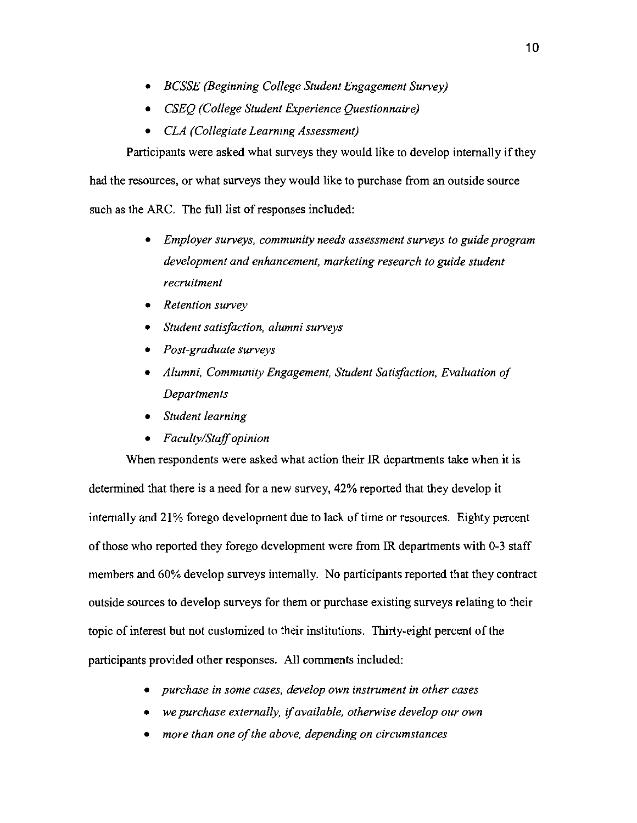- *• BCSSE (Beginning College Student Engagement Survey)*
- *• CSEQ (College Student Experience Questionnaire)*
- *• CLA (Collegiate Learning Assessment)*

Participants were asked what surveys they would like to develop internally if they

had the resources, or what surveys they would like to purchase from an outside source

such as the ARC. The full list of responses included:

- *• Employer surveys, community needs assessment surveys to guide program development and enhancement, marketing research to guide student recruitment*
- *• Retention survey*
- *• Student satisfaction, alumni surveys*
- *• Post-graduate surveys*
- *• Alumni, Community Engagement, Student Satisfaction, Evaluation of Departments*
- *• Student learning*
- *• Faculty/Staffopinion*

When respondents were asked what action their IR departments take when it is determined that there is a need for a new survey, 42% reported that they develop it internally **and** 21% forego development due to lack of time or resources. Eighty percent of those who reported they forego development were from IR departments with 0-3 staff members **and**60% develop surveys internally. No participants reported that they contract outside sources to develop surveys for them or purchase existing surveys relating to their topic of interest but not customized to their institutions. Thirty-eight percent of the participants provided other responses. All comments included:

- *• purchase in some cases, develop own instrument in other cases*
- *• we purchase externally,* if *available, otherwise develop our own*
- more than one of the above, depending on circumstances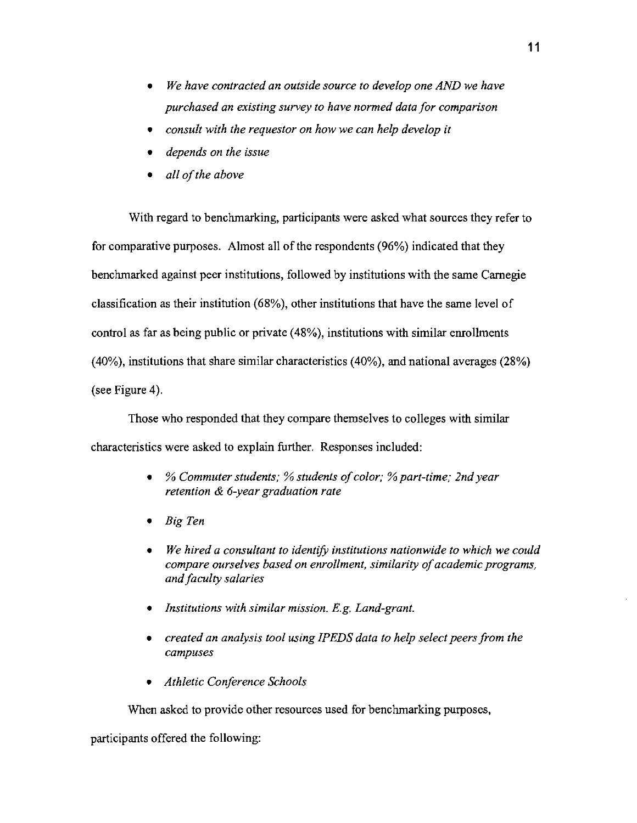- *• We have contracted an outside source to develop one AND we have purchased an existing survey to have normed data for comparison*
- *• consult with the requestor on how we can help develop it*
- *• depends on the issue*
- *• all ofthe above*

With regard to benchmarking, participants were asked what sources they refer to for comparative purposes. Almost all of the respondents (96%) indicated that they benchmarked against peer institutions, followed by institutions with the same Carnegie classification as their institution (68%), other institutions that have the same level of control as far as being public or private (48%), institutions with similar enrollments (40%), institutions that share similar characteristics (40%), and national averages (28%) (see Figure 4).

Those who responded that they compare themselves to colleges with similar characteristics were asked to explain further. Responses included:

- • % *Commuter students;* % *students ofcolor;* %*part-time; 2nd year retention* & *6-year graduation rate*
- *• Big Ten*
- *• We hired a consultant to identify institutions nationwide to which we could compare ourselves based on enrollment, similarity ofacademic programs, andfaculty salaries*
- *<i>Institutions with similar mission. E.g. Land-grant.*
- *• created an analysis tool using IPEDS data to help select peers from the campuses*
- *• Athletic Conference Schools*

When asked to provide other resources used for benchmarking purposes,

participants offered the following: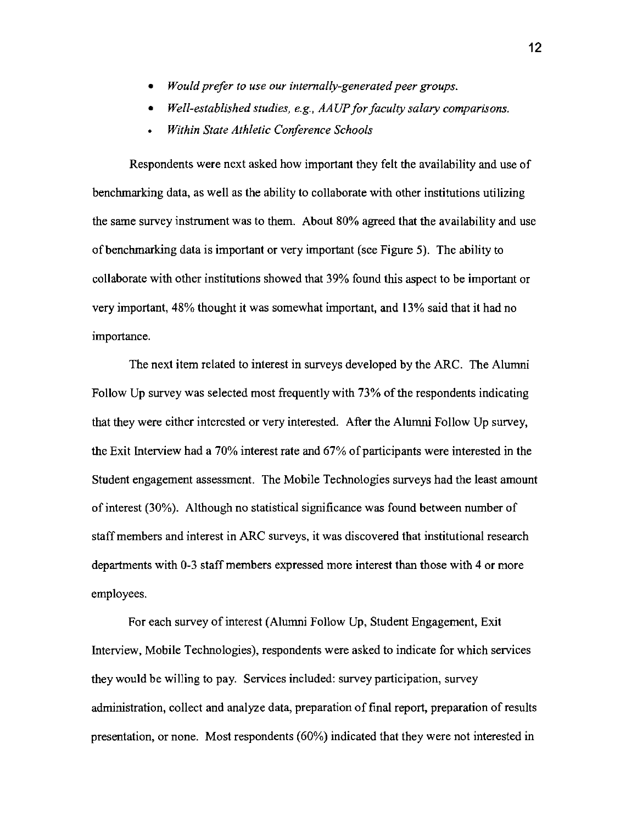- *Would prefer to use our internally-generated peer groups.*
- *Well-established studies, e.g., AAUPfor faculty salary comparisons.*
- *Within State Athletic Conference Schools*

Respondents were next asked how important they felt the availability and use of benchmarking data, as well as the ability to collaborate with other institutions utilizing the same survey instrument was to them. About 80% agreed that the availability and use ofbenchmarking data is important or very important (see Figure 5). The ability to collaborate with other institutions showed that 39% found this aspect to be important or very important, 48% thought it was somewhat important, and 13% said that it had no importance.

The next item related to interest in surveys developed by the ARC. The Alumni Follow Up survey was selected most frequently with 73% of the respondents indicating that they were either interested or very interested. After the Alumni Follow Up survey, the Exit Interview had a  $70\%$  interest rate and  $67\%$  of participants were interested in the Student engagement assessment. The Mobile Technologies surveys had the least amount of interest (30%). Although no statistical significance was found between number of staff members and interest in ARC surveys, it was discovered that institutional research departments with 0-3 staff members expressed more interest than those with 4 or more employees.

For each survey of interest (Alumni Follow Up, Student Engagement, Exit Interview, Mobile Technologies), respondents were asked to indicate for which services they would be willing to pay. Services included: survey participation, survey administration, collect and analyze data, preparation of final report, preparation of results presentation, or none. Most respondents (60%) indicated that they were not interested in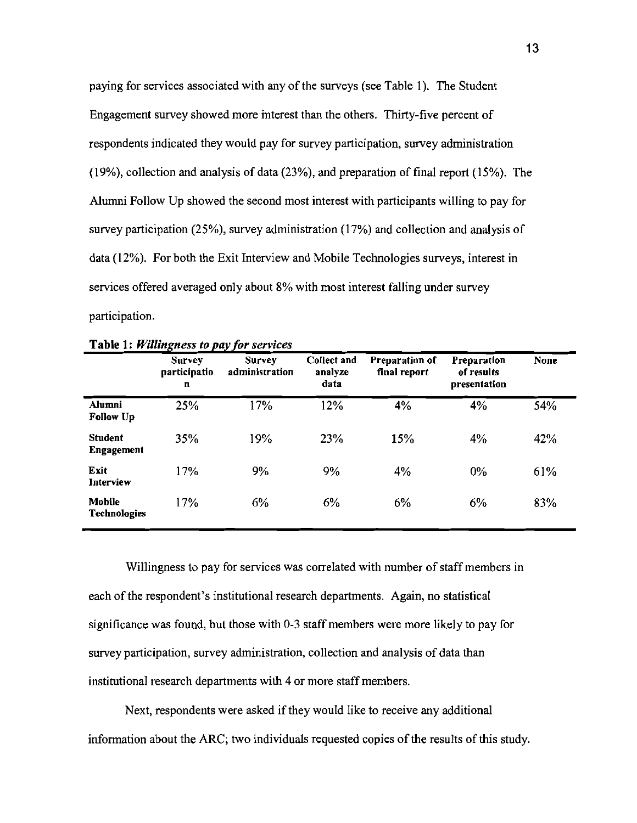paying for services associated with any of the surveys (see Table I). The Student Engagement survey showed more interest than the others. Thirty-five percent of respondents indicated they would pay for survey participation, survey administration (19%), collection and analysis of data (23%), and preparation of final report (15%). The Alumni Follow Up showed the second most interest with participants willing to pay for survey participation (25%), survey administration (17%) and collection and analysis of data (12%). For both the Exit Interview and Mobile Technologies surveys, interest in services offered averaged only about 8% with most interest falling under survey participation.

|                                      | <b>Survey</b><br>participatio<br>n | <b>Survey</b><br>administration | Collect and<br>analyze<br>data | Preparation of<br>final report | Preparation<br>of results<br>presentation | <b>None</b> |
|--------------------------------------|------------------------------------|---------------------------------|--------------------------------|--------------------------------|-------------------------------------------|-------------|
| Alumni<br><b>Follow Up</b>           | 25%                                | 17%                             | 12%                            | 4%                             | 4%                                        | 54%         |
| <b>Student</b><br><b>Engagement</b>  | 35%                                | 19%                             | 23%                            | 15%                            | 4%                                        | 42%         |
| Exit<br>Interview                    | 17%                                | 9%                              | 9%                             | 4%                             | 0%                                        | 61%         |
| <b>Mobile</b><br><b>Technologies</b> | 17%                                | 6%                              | 6%                             | 6%                             | 6%                                        | 83%         |

| Table 1: Willingness to pay for services |
|------------------------------------------|
|------------------------------------------|

Willingness to pay for services was correlated with number of staff members in each of the respondent's institutional research departments. Again, no statistical significance was found, but those with 0-3 staff members were more likely to pay for survey participation, survey administration, collection and analysis of data than institutional research departments with 4 or more staff members.

Next, respondents were asked if they would like to receive any additional information about the ARC; two individuals requested copies of the results of this study.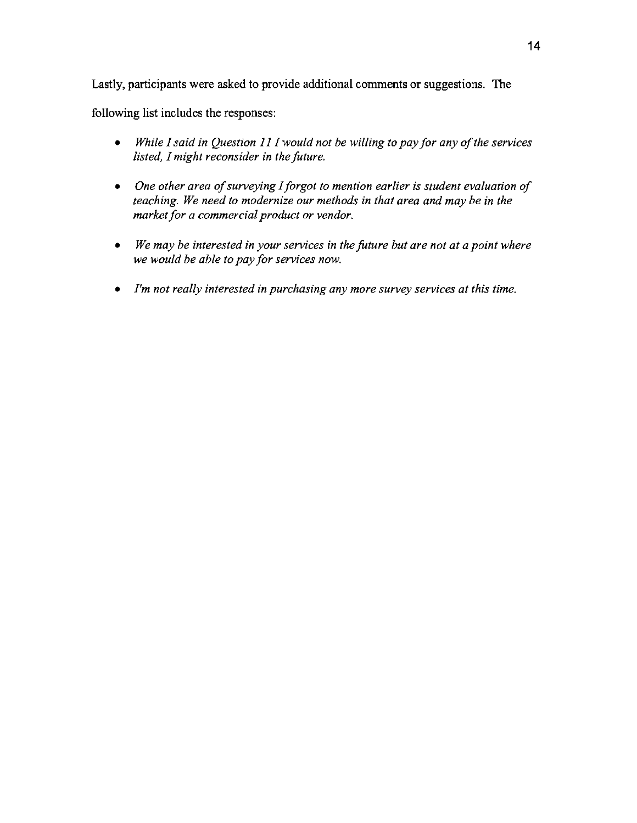Lastly, participants were asked to provide additional comments or suggestions. The

following list includes the responses:

- *While I said in Question 11 I would not be willing to pay for any of the services listed, I might reconsider in the future.*
- One other area of surveying I forgot to mention earlier is student evaluation of *teaching. We need to modernize our methods in that area and may be in the marketfor a commercial product or vendor.*
- *• We may be interested in your services in the future but are not at a point where we would be able to pay for services now.*
- *• I'm not really interested in purchasing any more survey services at this time.*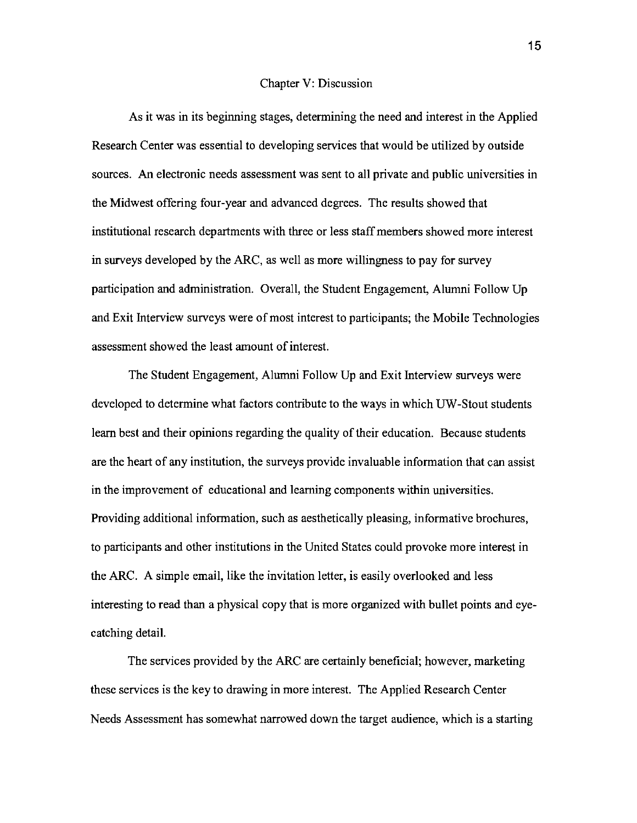#### Chapter V: Discussion

As it was in its beginning stages, determining the need and interest in the Applied Research Center was essential to developing services that would be utilized by outside sources. An electronic needs assessment was sent to all private and public universities in the Midwest offering four-year and advanced degrees. The results showed that institutional research departments with three or less staff members showed more interest in surveys developed by the ARC, as well as more willingness to pay for survey participation and administration. Overall, the Student Engagement, Alumni Follow Up and Exit Interview surveys were of most interest to participants; the Mobile Technologies assessment showed the least amount of interest.

The Student Engagement, Alumni Follow Up and Exit Interview surveys were developed to determine what factors contribute to the ways in which UW-Stout students learn best and their opinions regarding the quality of their education. Because students are the heart of any institution, the surveys provide invaluable information that can assist in the improvement of educational and learning components within universities. Providing additional information, such as aesthetically pleasing, informative brochures, to participants and other institutions in the United States could provoke more interest in the ARC. A simple email, like the invitation letter, is easily overlooked and less interesting to read than a physical copy that is more organized with bullet points and eyecatching detail.

The services provided by the ARC are certainly beneficial; however, marketing these services is the key to drawing in more interest. The Applied Research Center Needs Assessment has somewhat narrowed down the target audience, which is a starting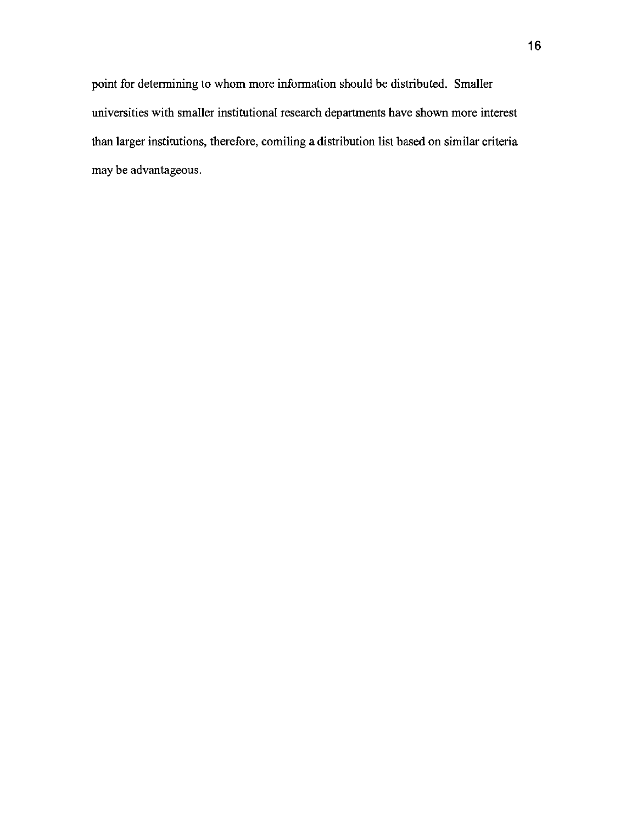point for determining to whom more information should be distributed. Smaller universities with smaller institutional research departments have shown more interest than larger institutions, therefore, comiling a distribution list based on similar criteria may be advantageous.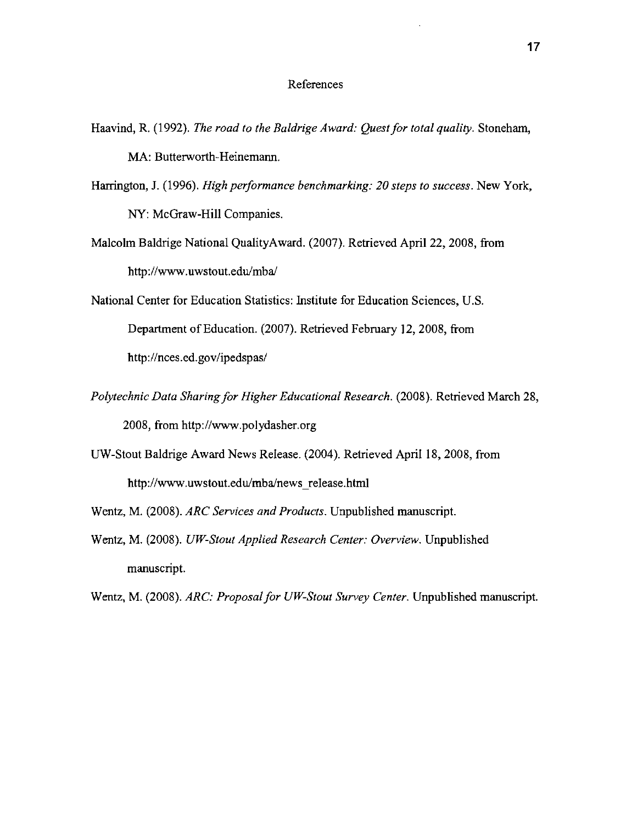## References

- Haavind, R. (1992). *The road to the Baldrige Award: Quest for total quality.* Stoneham, MA: Butterworth-Heinemann.
- Harrington, J. (1996). *High performance benchmarking: 20 steps to success.* New York, NY: McGraw-Hill Companies.
- Malcolm Baldrige National QualityAward. (2007). Retrieved April 22, 2008, from http://www.uwstout.edu/mba/
- National Center for Education Statistics: Institute for Education Sciences, U.S. Department of Education. (2007). Retrieved February 12, 2008, from http://nces.ed.gov/ipedspas/
- *Polytechnic Data Sharing for Higher Educational Research.* (2008). Retrieved March 28, 2008, from http://www.polydasher.org
- UW-Stout Baldrige Award News Release. (2004). Retrieved April 18, 2008, from http://www.uwstout.edu/mba/news release.html
- Wentz, M. (2008). *ARC Services and Products.* Unpublished manuscript.
- Wentz, M. (2008). *UW-Stout Applied Research Center: Overview.* Unpublished manuscript.
- Wentz, M. (2008). *ARC: Proposal for UW-Stout Survey Center.* Unpublished manuscript.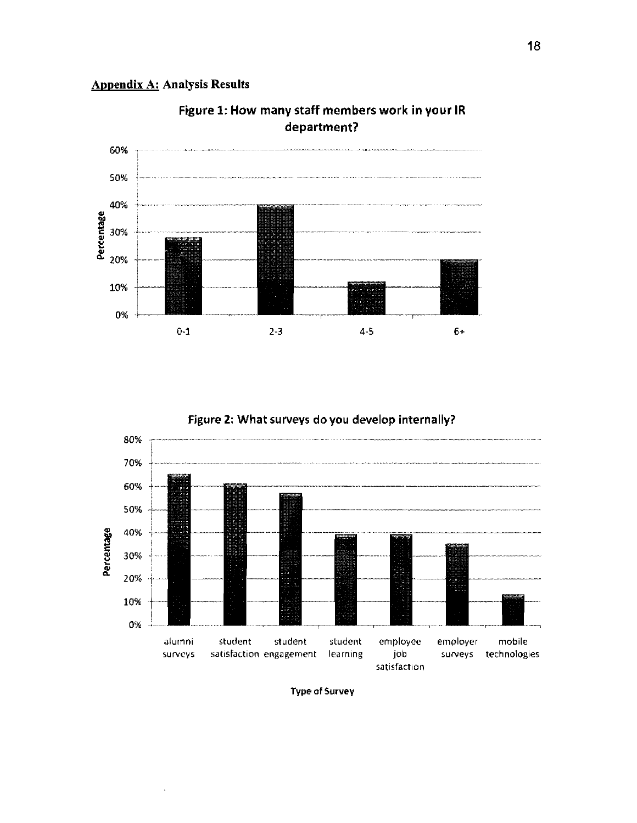



Figure 1: How many staff members work in your IR department?



# Figure 2: What surveys do you develop internally?

Type of Survey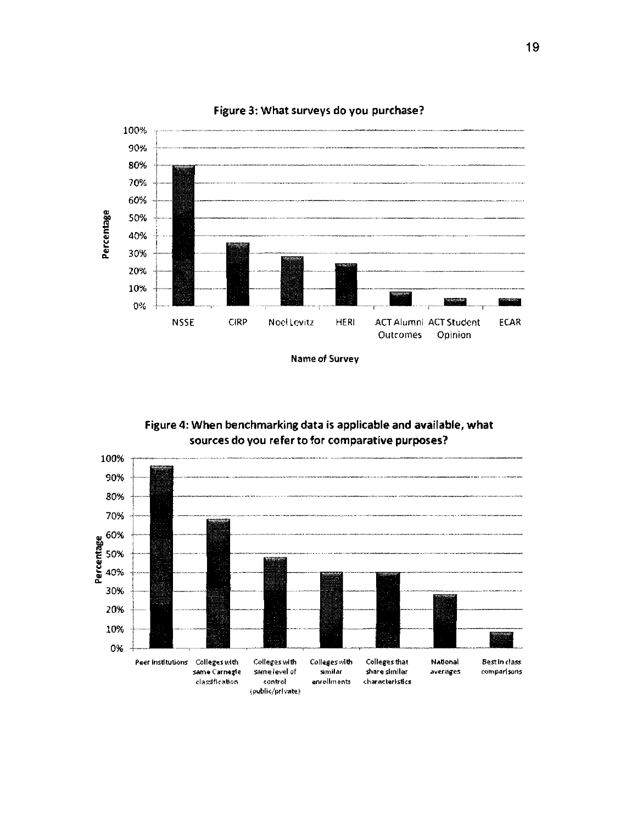

Figure 3: What surveys do you purchase?

Nameof Survey

Figure 4: When benchmarking *data* is applicable and available, what sources do you refer to for comparative purposes?

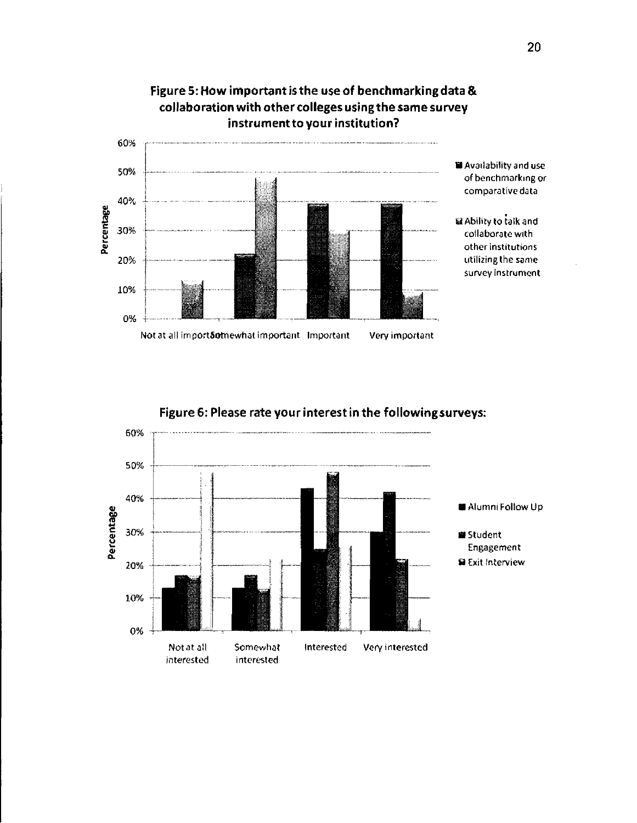

Figure 5: How important isthe useof benchmarking data & collaboration with other colleges usingthe same survey

Figure 6: Please rate your interest in the following surveys:



# 20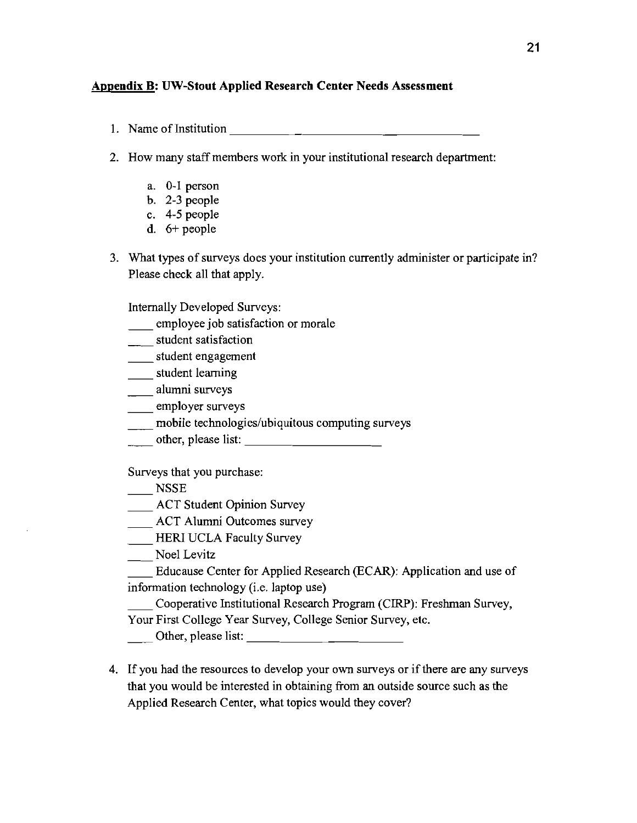# **Appendix B: UW-Stout Applied Research Center Needs Assessment**

1. Name of Institution  $\frac{1}{\frac{1}{2} + \frac{1}{2} + \frac{1}{2} + \frac{1}{2} + \frac{1}{2} + \frac{1}{2} + \frac{1}{2} + \frac{1}{2} + \frac{1}{2} + \frac{1}{2} + \frac{1}{2} + \frac{1}{2} + \frac{1}{2} + \frac{1}{2} + \frac{1}{2} + \frac{1}{2} + \frac{1}{2} + \frac{1}{2} + \frac{1}{2} + \frac{1}{2} + \frac{1}{2} + \frac{1}{2} + \frac{1}{2} + \frac{1}{2} +$ 

2. How many staff members work in your institutional research department:

- a. 0-1 person
- b. 2-3 people
- c. 4-5 people
- d. 6+ people
- 3. What types of surveys does your institution currently administer or participate in? Please check all that apply.

Internally Developed Surveys:

- employee job satisfaction or morale
- \_\_\_\_\_ student satisfaction
- \_\_\_\_\_ student engagement
- \_\_\_\_\_ student learning
- \_\_ alumni surveys
- \_\_ employer surveys
- mobile technologies/ubiquitous computing surveys
- \_\_\_\_\_ noone technologies abiquitous comparing su

Surveys that you purchase:

- **NSSE**
- ACT Student Opinion Survey
- \_\_\_ ACT Alumni Outcomes survey
- \_\_ HER! UCLA Faculty Survey

\_\_ Noel Levitz

\_\_ Educause Center for Applied Research (BCAR): Application and use of information technology (i.e. laptop use)

\_\_ Cooperative Institutional Research Program (CIRP): Freshman Survey,

Your First College Year Survey, College Senior Survey, etc.

Other, please list: \_

4. If you had the resources to develop your own surveys or if there are any surveys that you would be interested in obtaining from an outside source such as the Applied Research Center, what topics would they cover?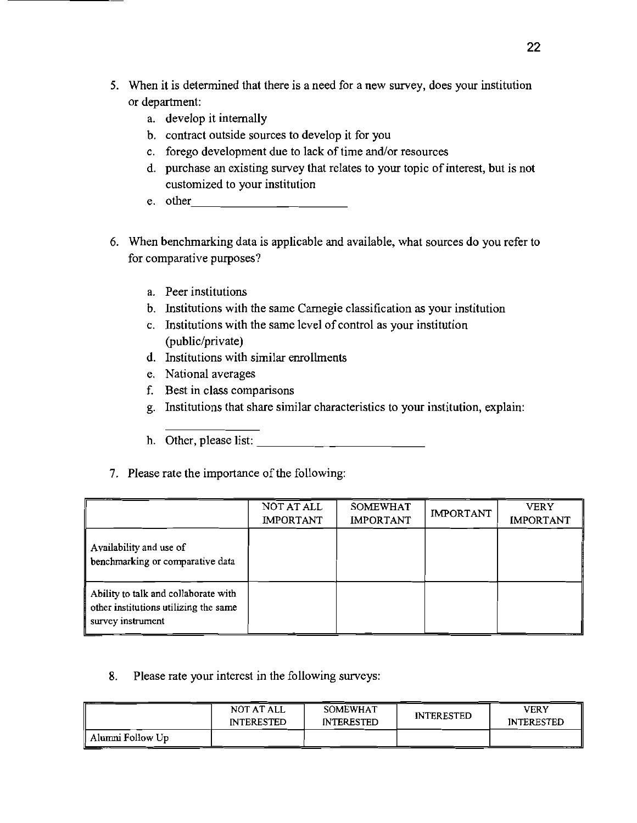- 5. When it is determined that there is a need for a new survey, does your institution or department:
	- a. develop it internally
	- b. contract outside sources to develop it for you
	- c. forego development due to lack of time and/or resources
	- d. purchase an existing survey that relates to your topic of interest, but is not
	- ----------- customized to your institution e. other
- 6. When benchmarking data is applicable and available, what sources do you refer to for comparative purposes?
	- a. Peer institutions
	- b. Institutions with the same Carnegie classification as your institution
	- c. Institutions with the same level of control as your institution (public/private)
	- d. Institutions with similar enrollments
	- e. National averages
	- f. Best in class comparisons
	- g. Institutions that share similar characteristics to your institution, explain:
	- h. Other, please list:
- 7. Please rate the importance of the following:

|                                                                                                    | NOT AT ALL<br><b>IMPORTANT</b> | <b>SOMEWHAT</b><br><b>IMPORTANT</b> | <b>IMPORTANT</b> | <b>VERY</b><br><b>IMPORTANT</b> |
|----------------------------------------------------------------------------------------------------|--------------------------------|-------------------------------------|------------------|---------------------------------|
| Availability and use of<br>benchmarking or comparative data                                        |                                |                                     |                  |                                 |
| Ability to talk and collaborate with<br>other institutions utilizing the same<br>survey instrument |                                |                                     |                  |                                 |

8. Please rate your interest in the following surveys:

|                  | NOT AT ALL<br><b>INTERESTED</b> | <b>SOMEWHAT</b><br><b>INTERESTED</b> | <b>INTERESTED</b> | <b>VERY</b><br><b>INTERESTED</b> |
|------------------|---------------------------------|--------------------------------------|-------------------|----------------------------------|
| Alumni Follow Up |                                 |                                      |                   |                                  |